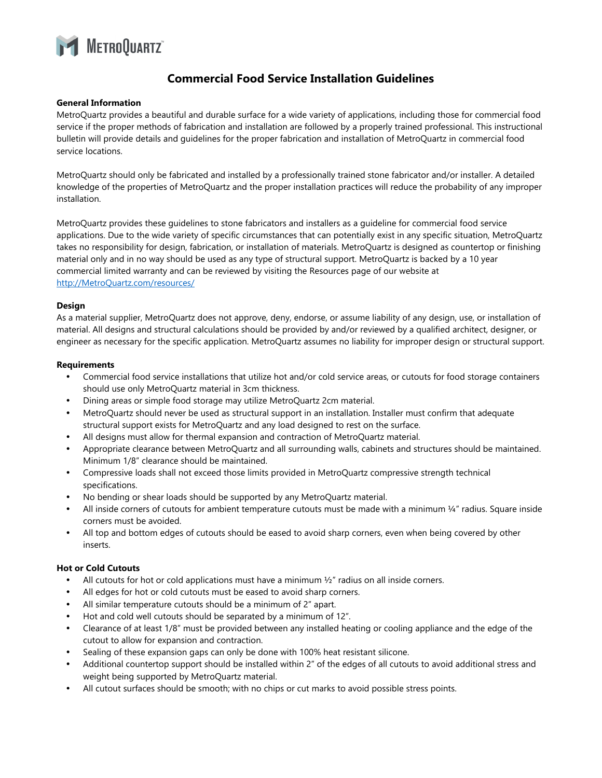

# **Commercial Food Service Installation Guidelines**

# **General Information**

MetroQuartz provides a beautiful and durable surface for a wide variety of applications, including those for commercial food service if the proper methods of fabrication and installation are followed by a properly trained professional. This instructional bulletin will provide details and guidelines for the proper fabrication and installation of MetroQuartz in commercial food service locations.

MetroQuartz should only be fabricated and installed by a professionally trained stone fabricator and/or installer. A detailed knowledge of the properties of MetroQuartz and the proper installation practices will reduce the probability of any improper installation.

MetroQuartz provides these guidelines to stone fabricators and installers as a guideline for commercial food service applications. Due to the wide variety of specific circumstances that can potentially exist in any specific situation, MetroQuartz takes no responsibility for design, fabrication, or installation of materials. MetroQuartz is designed as countertop or finishing material only and in no way should be used as any type of structural support. MetroQuartz is backed by a 10 year commercial limited warranty and can be reviewed by visiting the Resources page of our website at http://MetroQuartz.com/resources/

# **Design**

As a material supplier, MetroQuartz does not approve, deny, endorse, or assume liability of any design, use, or installation of material. All designs and structural calculations should be provided by and/or reviewed by a qualified architect, designer, or engineer as necessary for the specific application. MetroQuartz assumes no liability for improper design or structural support.

# **Requirements**

- Commercial food service installations that utilize hot and/or cold service areas, or cutouts for food storage containers should use only MetroQuartz material in 3cm thickness.
- Dining areas or simple food storage may utilize MetroQuartz 2cm material.
- MetroQuartz should never be used as structural support in an installation. Installer must confirm that adequate structural support exists for MetroQuartz and any load designed to rest on the surface.
- All designs must allow for thermal expansion and contraction of MetroQuartz material.
- Appropriate clearance between MetroQuartz and all surrounding walls, cabinets and structures should be maintained. Minimum 1/8" clearance should be maintained.
- Compressive loads shall not exceed those limits provided in MetroQuartz compressive strength technical specifications.
- No bending or shear loads should be supported by any MetroQuartz material.
- All inside corners of cutouts for ambient temperature cutouts must be made with a minimum  $\frac{1}{4}$ " radius. Square inside corners must be avoided.
- All top and bottom edges of cutouts should be eased to avoid sharp corners, even when being covered by other inserts.

# **Hot or Cold Cutouts**

- All cutouts for hot or cold applications must have a minimum  $\frac{1}{2}$ " radius on all inside corners.
- All edges for hot or cold cutouts must be eased to avoid sharp corners.
- All similar temperature cutouts should be a minimum of 2" apart.
- Hot and cold well cutouts should be separated by a minimum of 12".
- Clearance of at least 1/8" must be provided between any installed heating or cooling appliance and the edge of the cutout to allow for expansion and contraction.
- Sealing of these expansion gaps can only be done with 100% heat resistant silicone.
- Additional countertop support should be installed within 2" of the edges of all cutouts to avoid additional stress and weight being supported by MetroQuartz material.
- All cutout surfaces should be smooth; with no chips or cut marks to avoid possible stress points.